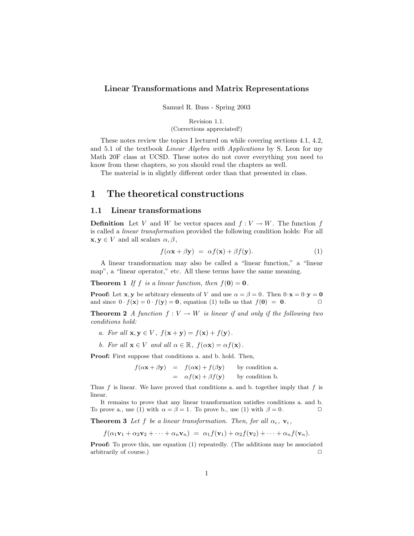### **Linear Transformations and Matrix Representations**

Samuel R. Buss - Spring 2003

Revision 1.1. (Corrections appreciated!)

These notes review the topics I lectured on while covering sections 4.1, 4.2, and 5.1 of the textbook *Linear Algebra with Applications* by S. Leon for my Math 20F class at UCSD. These notes do not cover everything you need to know from these chapters, so you should read the chapters as well.

The material is in slightly different order than that presented in class.

# **1 The theoretical constructions**

#### **1.1 Linear transformations**

**Definition** Let V and W be vector spaces and  $f: V \to W$ . The function f is called a *linear transformation* provided the following condition holds: For all  $\mathbf{x}, \mathbf{y} \in V$  and all scalars  $\alpha, \beta$ ,

$$
f(\alpha \mathbf{x} + \beta \mathbf{y}) = \alpha f(\mathbf{x}) + \beta f(\mathbf{y}). \tag{1}
$$

A linear transformation may also be called a "linear function," a "linear map", a "linear operator," etc. All these terms have the same meaning.

**Theorem 1** *If* f *is a linear function, then*  $f(\mathbf{0}) = \mathbf{0}$ *.* 

**Proof:** Let **x**, **y** be arbitrary elements of V and use  $\alpha = \beta = 0$ . Then  $0 \cdot \mathbf{x} = 0 \cdot \mathbf{y} = \mathbf{0}$  and since  $0 \cdot f(\mathbf{x}) = 0 \cdot f(\mathbf{v}) = \mathbf{0}$  equation (1) tells us that  $f(\mathbf{0}) = \mathbf{0}$ . and since  $0 \cdot f(\mathbf{x}) = 0 \cdot f(\mathbf{y}) = \mathbf{0}$ , equation (1) tells us that  $f(\mathbf{0}) = \mathbf{0}$ .

**Theorem 2** *A function*  $f: V \to W$  *is linear if and only if the following two conditions hold:*

- *a.* For all  $\mathbf{x}, \mathbf{y} \in V$ ,  $f(\mathbf{x} + \mathbf{y}) = f(\mathbf{x}) + f(\mathbf{y})$ .
- *b.* For all  $\mathbf{x} \in V$  and all  $\alpha \in \mathbb{R}$ ,  $f(\alpha \mathbf{x}) = \alpha f(\mathbf{x})$ .

**Proof:** First suppose that conditions a. and b. hold. Then,

 $f(\alpha \mathbf{x} + \beta \mathbf{y}) = f(\alpha \mathbf{x}) + f(\beta \mathbf{y})$  by condition a.  $= \alpha f(\mathbf{x}) + \beta f(\mathbf{y})$  by condition b.

Thus  $f$  is linear. We have proved that conditions a. and b. together imply that  $f$  is linear.

It remains to prove that any linear transformation satisfies conditions a. and b. To prove a., use (1) with  $\alpha = \beta = 1$ . To prove b., use (1) with  $\beta = 0$ .

**Theorem 3** *Let* f *be a linear transformation. Then, for all*  $\alpha_i$ ,  $\mathbf{v}_i$ ,

 $f(\alpha_1\mathbf{v}_1 + \alpha_2\mathbf{v}_2 + \cdots + \alpha_n\mathbf{v}_n) = \alpha_1f(\mathbf{v}_1) + \alpha_2f(\mathbf{v}_2) + \cdots + \alpha_nf(\mathbf{v}_n).$ 

**Proof:** To prove this, use equation (1) repeatedly. (The additions may be associated arbitrarily of course.)  $\Box$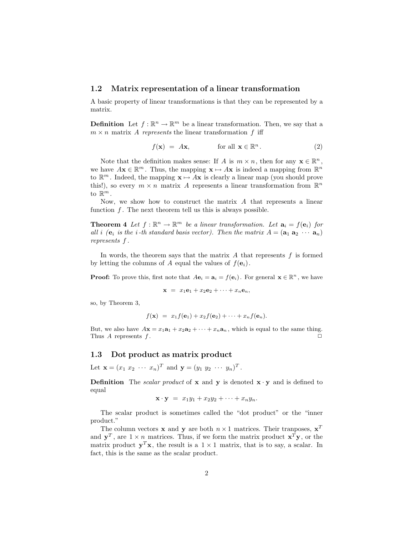#### **1.2 Matrix representation of a linear transformation**

A basic property of linear transformations is that they can be represented by a matrix.

**Definition** Let  $f : \mathbb{R}^n \to \mathbb{R}^m$  be a linear transformation. Then, we say that a  $m \times n$  matrix A *represents* the linear transformation f iff

$$
f(\mathbf{x}) = A\mathbf{x}, \quad \text{for all } \mathbf{x} \in \mathbb{R}^n. \tag{2}
$$

Note that the definition makes sense: If A is  $m \times n$ , then for any  $\mathbf{x} \in \mathbb{R}^n$ , we have  $A\mathbf{x} \in \mathbb{R}^m$ . Thus, the mapping  $\mathbf{x} \mapsto A\mathbf{x}$  is indeed a mapping from  $\mathbb{R}^n$ to  $\mathbb{R}^m$ . Indeed, the mapping  $\mathbf{x} \mapsto A\mathbf{x}$  is clearly a linear map (you should prove this!), so every  $m \times n$  matrix A represents a linear transformation from  $\mathbb{R}^n$ to  $\mathbb{R}^m$ .

Now, we show how to construct the matrix A that represents a linear function  $f$ . The next theorem tell us this is always possible.

**Theorem 4** Let  $f : \mathbb{R}^n \to \mathbb{R}^m$  be a linear transformation. Let  $\mathbf{a}_i = f(\mathbf{e}_i)$  for *all i (e<sub>i</sub> is the i*-th standard basis vector). Then the matrix  $A = (\mathbf{a}_1 \ \mathbf{a}_2 \ \cdots \ \mathbf{a}_n)$ *represents* f *.*

In words, the theorem says that the matrix  $A$  that represents  $f$  is formed by letting the columns of A equal the values of  $f(\mathbf{e}_i)$ .

**Proof:** To prove this, first note that  $A\mathbf{e}_i = \mathbf{a}_i = f(\mathbf{e}_i)$ . For general  $\mathbf{x} \in \mathbb{R}^n$ , we have

$$
\mathbf{x} = x_1 \mathbf{e}_1 + x_2 \mathbf{e}_2 + \cdots + x_n \mathbf{e}_n,
$$

so, by Theorem 3,

$$
f(\mathbf{x}) = x_1 f(\mathbf{e}_1) + x_2 f(\mathbf{e}_2) + \cdots + x_n f(\mathbf{e}_n).
$$

But, we also have  $A\mathbf{x} = x_1\mathbf{a}_1 + x_2\mathbf{a}_2 + \cdots + x_n\mathbf{a}_n$ , which is equal to the same thing. Thus  $A$  represents  $f$ .

### **1.3 Dot product as matrix product**

Let  $\mathbf{x} = (x_1 \ x_2 \ \cdots \ x_n)^T$  and  $\mathbf{y} = (y_1 \ y_2 \ \cdots \ y_n)^T$ .

**Definition** The *scalar product* of **x** and **y** is denoted  $\mathbf{x} \cdot \mathbf{y}$  and is defined to equal

$$
\mathbf{x} \cdot \mathbf{y} = x_1 y_1 + x_2 y_2 + \cdots + x_n y_n.
$$

The scalar product is sometimes called the "dot product" or the "inner product."

The column vectors **x** and **y** are both  $n \times 1$  matrices. Their tranposes,  $\mathbf{x}^T$ and  $y^T$ , are  $1 \times n$  matrices. Thus, if we form the matrix product  $\mathbf{x}^T \mathbf{y}$ , or the matrix product  $y^T x$ , the result is a  $1 \times 1$  matrix, that is to say, a scalar. In fact, this is the same as the scalar product.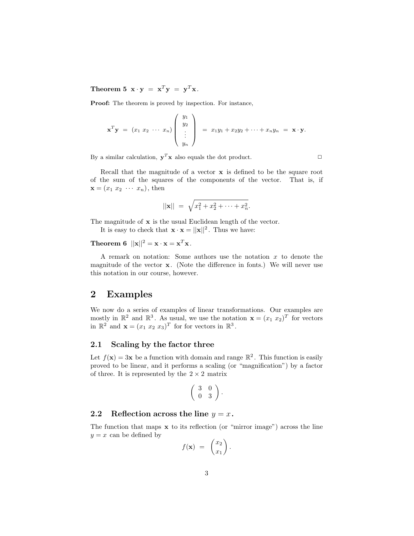**Theorem 5**  $\mathbf{x} \cdot \mathbf{y} = \mathbf{x}^T \mathbf{y} = \mathbf{y}^T \mathbf{x}$ .

**Proof:** The theorem is proved by inspection. For instance,

$$
\mathbf{x}^T \mathbf{y} = (x_1 \ x_2 \ \cdots \ x_n) \begin{pmatrix} y_1 \\ y_2 \\ \vdots \\ y_n \end{pmatrix} = x_1 y_1 + x_2 y_2 + \cdots + x_n y_n = \mathbf{x} \cdot \mathbf{y}.
$$

By a similar calculation,  $\mathbf{y}^T \mathbf{x}$  also equals the dot product.  $\Box$ 

Recall that the magnitude of a vector **x** is defined to be the square root of the sum of the squares of the components of the vector. That is, if  $\mathbf{x} = (x_1 \ x_2 \ \cdots \ x_n),$  then

$$
||\mathbf{x}|| = \sqrt{x_1^2 + x_2^2 + \dots + x_n^2}.
$$

The magnitude of **x** is the usual Euclidean length of the vector.

It is easy to check that  $\mathbf{x} \cdot \mathbf{x} = ||\mathbf{x}||^2$ . Thus we have:

# **Theorem 6**  $||\mathbf{x}||^2 = \mathbf{x} \cdot \mathbf{x} = \mathbf{x}^T \mathbf{x}$ *.*

A remark on notation: Some authors use the notation  $x$  to denote the magnitude of the vector **x**. (Note the difference in fonts.) We will never use this notation in our course, however.

# **2 Examples**

We now do a series of examples of linear transformations. Our examples are mostly in  $\mathbb{R}^2$  and  $\mathbb{R}^3$ . As usual, we use the notation  $\mathbf{x} = (x_1 \ x_2)^T$  for vectors in  $\mathbb{R}^2$  and  $\mathbf{x} = (x_1 \ x_2 \ x_3)^T$  for for vectors in  $\mathbb{R}^3$ .

#### **2.1 Scaling by the factor three**

Let  $f(\mathbf{x})=3\mathbf{x}$  be a function with domain and range  $\mathbb{R}^2$ . This function is easily proved to be linear, and it performs a scaling (or "magnification") by a factor of three. It is represented by the  $2 \times 2$  matrix

$$
\left(\begin{array}{cc}3 & 0 \\0 & 3\end{array}\right).
$$

#### **2.2** Reflection across the line  $y = x$ .

The function that maps **x** to its reflection (or "mirror image") across the line  $y = x$  can be defined by

$$
f(\mathbf{x}) = \begin{pmatrix} x_2 \\ x_1 \end{pmatrix}.
$$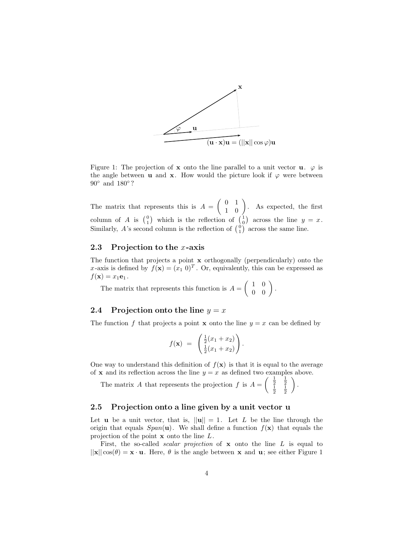

Figure 1: The projection of **x** onto the line parallel to a unit vector **u**.  $\varphi$  is the angle between **u** and **x**. How would the picture look if  $\varphi$  were between 90° and 180°?

The matrix that represents this is  $A = \begin{pmatrix} 0 & 1 \\ 1 & 0 \end{pmatrix}$ . As expected, the first column of A is  $\begin{pmatrix} 0 \\ 1 \end{pmatrix}$  which is the reflection of  $\begin{pmatrix} 1 \\ 0 \end{pmatrix}$  across the line  $y = x$ . Similarly, A's second column is the reflection of  $\binom{0}{1}$  across the same line.

#### **2.3 Projection to the** x**-axis**

The function that projects a point **x** orthogonally (perpendicularly) onto the x-axis is defined by  $f(\mathbf{x})=(x_1 \ 0)^T$ . Or, equivalently, this can be expressed as  $f(\mathbf{x}) = x_1 \mathbf{e}_1$ .

The matrix that represents this function is  $A = \begin{pmatrix} 1 & 0 \\ 0 & 0 \end{pmatrix}$ .

### **2.4** Projection onto the line  $y = x$

The function f that projects a point **x** onto the line  $y = x$  can be defined by

$$
f(\mathbf{x}) = \begin{pmatrix} \frac{1}{2}(x_1 + x_2) \\ \frac{1}{2}(x_1 + x_2) \end{pmatrix}.
$$

One way to understand this definition of  $f(\mathbf{x})$  is that it is equal to the average of **x** and its reflection across the line  $y = x$  as defined two examples above.

The matrix A that represents the projection f is  $A = \begin{pmatrix} \frac{1}{2} & \frac{1}{2} \\ \frac{1}{2} & \frac{1}{2} \end{pmatrix}$  $\bigg)$  .

#### **2.5 Projection onto a line given by a unit vector u**

Let **u** be a unit vector, that is,  $||\mathbf{u}|| = 1$ . Let L be the line through the origin that equals  $Span(\mathbf{u})$ . We shall define a function  $f(\mathbf{x})$  that equals the projection of the point **x** onto the line L.

First, the so-called *scalar projection* of **x** onto the line L is equal to  $||\mathbf{x}||\cos(\theta) = \mathbf{x} \cdot \mathbf{u}$ . Here,  $\theta$  is the angle between **x** and **u**; see either Figure 1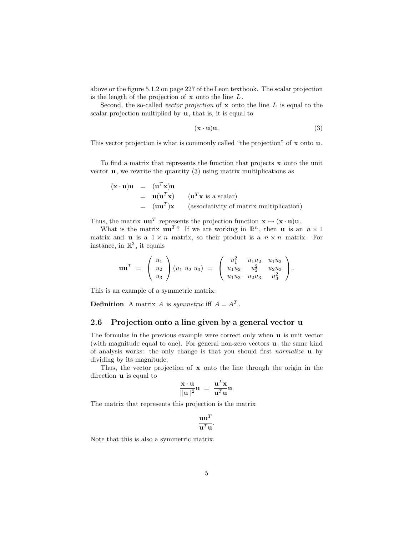above or the figure 5.1.2 on page 227 of the Leon textbook. The scalar projection is the length of the projection of **x** onto the line L.

Second, the so-called *vector projection* of **x** onto the line L is equal to the scalar projection multiplied by **u**, that is, it is equal to

$$
(\mathbf{x} \cdot \mathbf{u})\mathbf{u}.\tag{3}
$$

This vector projection is what is commonly called "the projection" of **x** onto **u**.

To find a matrix that represents the function that projects **x** onto the unit vector  $\bf{u}$ , we rewrite the quantity (3) using matrix multiplications as

$$
(\mathbf{x} \cdot \mathbf{u})\mathbf{u} = (\mathbf{u}^T \mathbf{x})\mathbf{u}
$$
  
=  $\mathbf{u}(\mathbf{u}^T \mathbf{x})$  ( $\mathbf{u}^T \mathbf{x}$  is a scalar)  
=  $(\mathbf{u}\mathbf{u}^T)\mathbf{x}$  (associativity of matrix multiplication)

Thus, the matrix  $\mathbf{u}\mathbf{u}^T$  represents the projection function  $\mathbf{x} \mapsto (\mathbf{x} \cdot \mathbf{u})\mathbf{u}$ .

What is the matrix  $\mathbf{u}\mathbf{u}^T$ ? If we are working in  $\mathbb{R}^n$ , then **u** is an  $n \times 1$ matrix and **u** is a  $1 \times n$  matrix, so their product is a  $n \times n$  matrix. For instance, in  $\mathbb{R}^3$ , it equals

$$
\mathbf{u}\mathbf{u}^T = \begin{pmatrix} u_1 \\ u_2 \\ u_3 \end{pmatrix} (u_1 \ u_2 \ u_3) = \begin{pmatrix} u_1^2 & u_1u_2 & u_1u_3 \\ u_1u_2 & u_2^2 & u_2u_3 \\ u_1u_3 & u_2u_3 & u_3^2 \end{pmatrix}.
$$

This is an example of a symmetric matrix:

**Definition** A matrix A is *symmetric* iff  $A = A^T$ .

#### **2.6 Projection onto a line given by a general vector u**

The formulas in the previous example were correct only when **u** is unit vector (with magnitude equal to one). For general non-zero vectors **u**, the same kind of analysis works: the only change is that you should first *normalize* **u** by dividing by its magnitude.

Thus, the vector projection of **x** onto the line through the origin in the direction **u** is equal to

$$
\frac{\mathbf{x} \cdot \mathbf{u}}{||\mathbf{u}||^2} \mathbf{u} = \frac{\mathbf{u}^T \mathbf{x}}{\mathbf{u}^T \mathbf{u}} \mathbf{u}.
$$

The matrix that represents this projection is the matrix

$$
\frac{\mathbf{u}\mathbf{u}^T}{\mathbf{u}^T\mathbf{u}}.
$$

Note that this is also a symmetric matrix.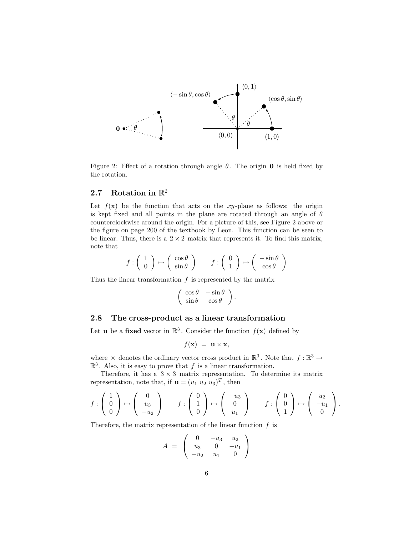

Figure 2: Effect of a rotation through angle  $\theta$ . The origin **0** is held fixed by the rotation.

# **2.7 Rotation in** R<sup>2</sup>

Let  $f(\mathbf{x})$  be the function that acts on the xy-plane as follows: the origin is kept fixed and all points in the plane are rotated through an angle of  $\theta$ counterclockwise around the origin. For a picture of this, see Figure 2 above or the figure on page 200 of the textbook by Leon. This function can be seen to be linear. Thus, there is a  $2\times 2$  matrix that represents it. To find this matrix, note that

$$
f: \left(\begin{array}{c} 1 \\ 0 \end{array}\right) \mapsto \left(\begin{array}{c} \cos \theta \\ \sin \theta \end{array}\right) \qquad f: \left(\begin{array}{c} 0 \\ 1 \end{array}\right) \mapsto \left(\begin{array}{c} -\sin \theta \\ \cos \theta \end{array}\right)
$$

Thus the linear transformation  $f$  is represented by the matrix

$$
\left(\begin{array}{cc} \cos\theta & -\sin\theta \\ \sin\theta & \cos\theta \end{array}\right).
$$

#### **2.8 The cross-product as a linear transformation**

Let **u** be a **fixed** vector in  $\mathbb{R}^3$ . Consider the function  $f(\mathbf{x})$  defined by

$$
f(\mathbf{x}) = \mathbf{u} \times \mathbf{x},
$$

where  $\times$  denotes the ordinary vector cross product in  $\mathbb{R}^3$ . Note that  $f : \mathbb{R}^3 \to$  $\mathbb{R}^3$ . Also, it is easy to prove that f is a linear transformation.

Therefore, it has a  $3 \times 3$  matrix representation. To determine its matrix representation, note that, if **u** =  $(u_1 \ u_2 \ u_3)^T$ , then

$$
f: \begin{pmatrix} 1 \\ 0 \\ 0 \end{pmatrix} \mapsto \begin{pmatrix} 0 \\ u_3 \\ -u_2 \end{pmatrix} \qquad f: \begin{pmatrix} 0 \\ 1 \\ 0 \end{pmatrix} \mapsto \begin{pmatrix} -u_3 \\ 0 \\ u_1 \end{pmatrix} \qquad f: \begin{pmatrix} 0 \\ 0 \\ 1 \end{pmatrix} \mapsto \begin{pmatrix} u_2 \\ -u_1 \\ 0 \end{pmatrix}.
$$

Therefore, the matrix representation of the linear function  $f$  is

$$
A = \left(\begin{array}{ccc} 0 & -u_3 & u_2 \\ u_3 & 0 & -u_1 \\ -u_2 & u_1 & 0 \end{array}\right)
$$